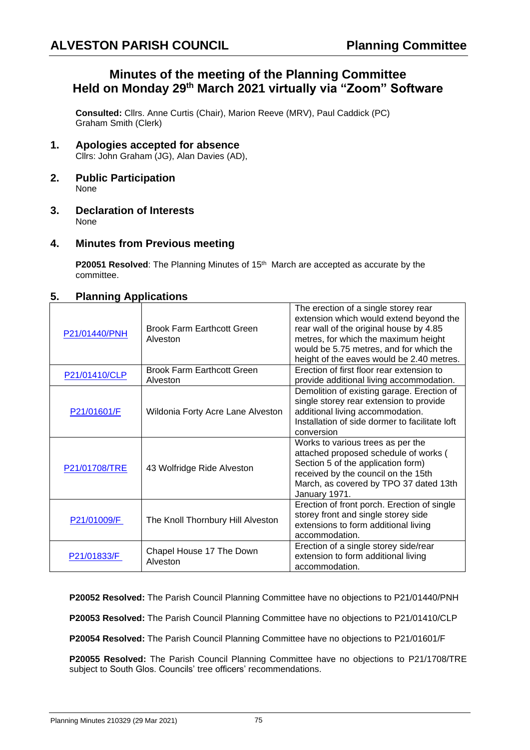# **Minutes of the meeting of the Planning Committee Held on Monday 29th March 2021 virtually via "Zoom" Software**

**Consulted:** Cllrs. Anne Curtis (Chair), Marion Reeve (MRV), Paul Caddick (PC) Graham Smith (Clerk)

- **1. Apologies accepted for absence** Cllrs: John Graham (JG), Alan Davies (AD),
- **2. Public Participation** None
- **3. Declaration of Interests** None

## **4. Minutes from Previous meeting**

**P20051 Resolved:** The Planning Minutes of 15<sup>th</sup> March are accepted as accurate by the committee.

## **5. Planning Applications**

| P21/01440/PNH | <b>Brook Farm Earthcott Green</b><br>Alveston | The erection of a single storey rear<br>extension which would extend beyond the<br>rear wall of the original house by 4.85<br>metres, for which the maximum height<br>would be 5.75 metres, and for which the<br>height of the eaves would be 2.40 metres. |
|---------------|-----------------------------------------------|------------------------------------------------------------------------------------------------------------------------------------------------------------------------------------------------------------------------------------------------------------|
| P21/01410/CLP | <b>Brook Farm Earthcott Green</b><br>Alveston | Erection of first floor rear extension to<br>provide additional living accommodation.                                                                                                                                                                      |
| P21/01601/F   | Wildonia Forty Acre Lane Alveston             | Demolition of existing garage. Erection of<br>single storey rear extension to provide<br>additional living accommodation.<br>Installation of side dormer to facilitate loft<br>conversion                                                                  |
| P21/01708/TRE | 43 Wolfridge Ride Alveston                    | Works to various trees as per the<br>attached proposed schedule of works (<br>Section 5 of the application form)<br>received by the council on the 15th<br>March, as covered by TPO 37 dated 13th<br>January 1971.                                         |
| P21/01009/F   | The Knoll Thornbury Hill Alveston             | Erection of front porch. Erection of single<br>storey front and single storey side<br>extensions to form additional living<br>accommodation.                                                                                                               |
| P21/01833/F   | Chapel House 17 The Down<br>Alveston          | Erection of a single storey side/rear<br>extension to form additional living<br>accommodation.                                                                                                                                                             |

**P20052 Resolved:** The Parish Council Planning Committee have no objections to P21/01440/PNH

**P20053 Resolved:** The Parish Council Planning Committee have no objections to P21/01410/CLP

**P20054 Resolved:** The Parish Council Planning Committee have no objections to P21/01601/F

**P20055 Resolved:** The Parish Council Planning Committee have no objections to P21/1708/TRE subject to South Glos. Councils' tree officers' recommendations.